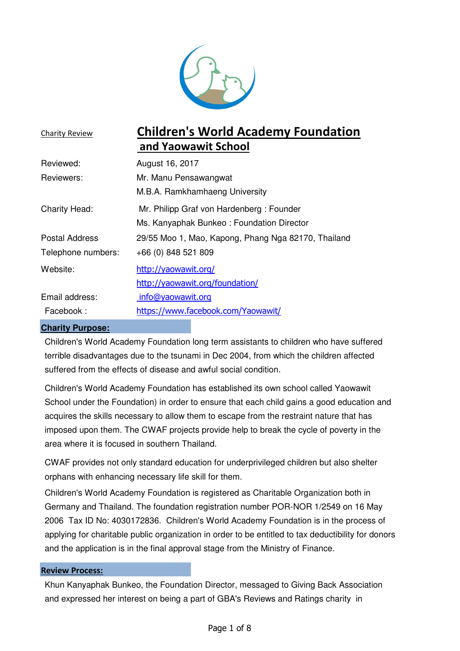

| <b>Charity Review</b> | <b>Children's World Academy Foundation</b>          |  |  |  |
|-----------------------|-----------------------------------------------------|--|--|--|
|                       | and Yaowawit School                                 |  |  |  |
| Reviewed:             | August 16, 2017                                     |  |  |  |
| Reviewers:            | Mr. Manu Pensawangwat                               |  |  |  |
|                       | M.B.A. Ramkhamhaeng University                      |  |  |  |
| <b>Charity Head:</b>  | Mr. Philipp Graf von Hardenberg: Founder            |  |  |  |
|                       | Ms. Kanyaphak Bunkeo: Foundation Director           |  |  |  |
| <b>Postal Address</b> | 29/55 Moo 1, Mao, Kapong, Phang Nga 82170, Thailand |  |  |  |
| Telephone numbers:    | +66 (0) 848 521 809                                 |  |  |  |
| Website:              | http://yaowawit.org/                                |  |  |  |
|                       | http://yaowawit.org/foundation/                     |  |  |  |
| Email address:        | info@yaowawit.org                                   |  |  |  |
| Facebook:             | https://www.facebook.com/Yaowawit/                  |  |  |  |
|                       |                                                     |  |  |  |

#### **Charity Purpose:**

Children's World Academy Foundation long term assistants to children who have suffered terrible disadvantages due to the tsunami in Dec 2004, from which the children affected suffered from the effects of disease and awful social condition.

Children's World Academy Foundation has established its own school called Yaowawit School under the Foundation) in order to ensure that each child gains a good education and acquires the skills necessary to allow them to escape from the restraint nature that has imposed upon them. The CWAF projects provide help to break the cycle of poverty in the area where it is focused in southern Thailand.

CWAF provides not only standard education for underprivileged children but also shelter orphans with enhancing necessary life skill for them.

Children's World Academy Foundation is registered as Charitable Organization both in Germany and Thailand. The foundation registration number POR-NOR 1/2549 on 16 May 2006 Tax ID No: 4030172836. Children's World Academy Foundation is in the process of applying for charitable public organization in order to be entitled to tax deductibility for donors and the application is in the final approval stage from the Ministry of Finance.

#### Review Process:

Khun Kanyaphak Bunkeo, the Foundation Director, messaged to Giving Back Association and expressed her interest on being a part of GBA's Reviews and Ratings charity in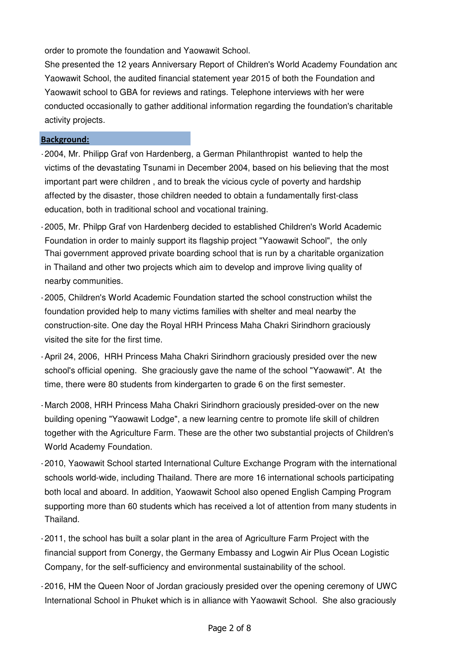order to promote the foundation and Yaowawit School.

She presented the 12 years Anniversary Report of Children's World Academy Foundation and Yaowawit School, the audited financial statement year 2015 of both the Foundation and Yaowawit school to GBA for reviews and ratings. Telephone interviews with her were conducted occasionally to gather additional information regarding the foundation's charitable activity projects.

#### Background:

- -2004, Mr. Philipp Graf von Hardenberg, a German Philanthropist wanted to help the victims of the devastating Tsunami in December 2004, based on his believing that the most important part were children , and to break the vicious cycle of poverty and hardship affected by the disaster, those children needed to obtain a fundamentally first-class education, both in traditional school and vocational training.
- -2005, Mr. Philpp Graf von Hardenberg decided to established Children's World Academic Foundation in order to mainly support its flagship project "Yaowawit School", the only Thai government approved private boarding school that is run by a charitable organization in Thailand and other two projects which aim to develop and improve living quality of nearby communities.
- -2005, Children's World Academic Foundation started the school construction whilst the foundation provided help to many victims families with shelter and meal nearby the construction-site. One day the Royal HRH Princess Maha Chakri Sirindhorn graciously visited the site for the first time.
- -April 24, 2006, HRH Princess Maha Chakri Sirindhorn graciously presided over the new school's official opening. She graciously gave the name of the school "Yaowawit". At the time, there were 80 students from kindergarten to grade 6 on the first semester.
- -March 2008, HRH Princess Maha Chakri Sirindhorn graciously presided-over on the new building opening "Yaowawit Lodge", a new learning centre to promote life skill of children together with the Agriculture Farm. These are the other two substantial projects of Children's World Academy Foundation.
- -2010, Yaowawit School started International Culture Exchange Program with the international schools world-wide, including Thailand. There are more 16 international schools participating both local and aboard. In addition, Yaowawit School also opened English Camping Program supporting more than 60 students which has received a lot of attention from many students in Thailand.
- -2011, the school has built a solar plant in the area of Agriculture Farm Project with the financial support from Conergy, the Germany Embassy and Logwin Air Plus Ocean Logistic Company, for the self-sufficiency and environmental sustainability of the school.
- -2016, HM the Queen Noor of Jordan graciously presided over the opening ceremony of UWC International School in Phuket which is in alliance with Yaowawit School. She also graciously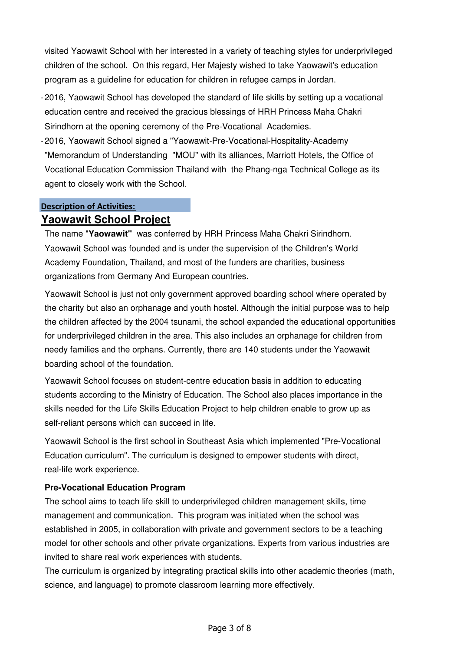visited Yaowawit School with her interested in a variety of teaching styles for underprivileged children of the school. On this regard, Her Majesty wished to take Yaowawit's education program as a guideline for education for children in refugee camps in Jordan.

- -2016, Yaowawit School has developed the standard of life skills by setting up a vocational education centre and received the gracious blessings of HRH Princess Maha Chakri Sirindhorn at the opening ceremony of the Pre-Vocational Academies.
- -2016, Yaowawit School signed a "Yaowawit-Pre-Vocational-Hospitality-Academy "Memorandum of Understanding "MOU" with its alliances, Marriott Hotels, the Office of Vocational Education Commission Thailand with the Phang-nga Technical College as its agent to closely work with the School.

# Description of Activities: **Yaowawit School Project**

The name "**Yaowawit"** was conferred by HRH Princess Maha Chakri Sirindhorn. Yaowawit School was founded and is under the supervision of the Children's World Academy Foundation, Thailand, and most of the funders are charities, business organizations from Germany And European countries.

Yaowawit School is just not only government approved boarding school where operated by the charity but also an orphanage and youth hostel. Although the initial purpose was to help the children affected by the 2004 tsunami, the school expanded the educational opportunities for underprivileged children in the area. This also includes an orphanage for children from needy families and the orphans. Currently, there are 140 students under the Yaowawit boarding school of the foundation.

Yaowawit School focuses on student-centre education basis in addition to educating students according to the Ministry of Education. The School also places importance in the skills needed for the Life Skills Education Project to help children enable to grow up as self-reliant persons which can succeed in life.

Yaowawit School is the first school in Southeast Asia which implemented "Pre-Vocational Education curriculum". The curriculum is designed to empower students with direct, real-life work experience.

# **Pre-Vocational Education Program**

The school aims to teach life skill to underprivileged children management skills, time management and communication. This program was initiated when the school was established in 2005, in collaboration with private and government sectors to be a teaching model for other schools and other private organizations. Experts from various industries are invited to share real work experiences with students.

The curriculum is organized by integrating practical skills into other academic theories (math, science, and language) to promote classroom learning more effectively.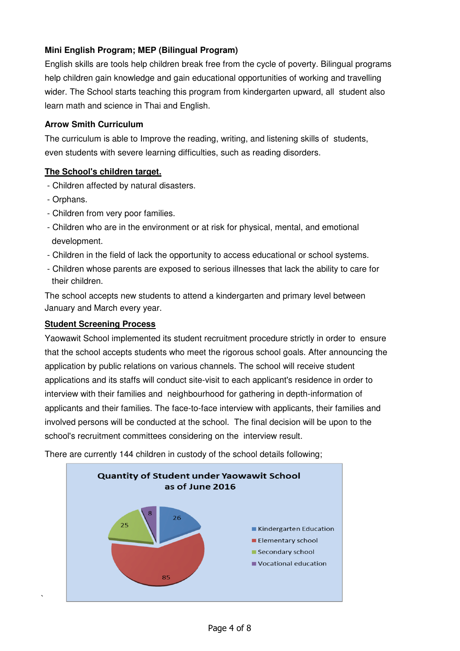# **Mini English Program; MEP (Bilingual Program)**

English skills are tools help children break free from the cycle of poverty. Bilingual programs help children gain knowledge and gain educational opportunities of working and travelling wider. The School starts teaching this program from kindergarten upward, all student also learn math and science in Thai and English.

### **Arrow Smith Curriculum**

The curriculum is able to Improve the reading, writing, and listening skills of students, even students with severe learning difficulties, such as reading disorders.

# **The School's children target.**

- Children affected by natural disasters.
- Orphans.

`

- Children from very poor families.
- Children who are in the environment or at risk for physical, mental, and emotional development.
- Children in the field of lack the opportunity to access educational or school systems.
- Children whose parents are exposed to serious illnesses that lack the ability to care for their children.

The school accepts new students to attend a kindergarten and primary level between January and March every year.

#### **Student Screening Process**

Yaowawit School implemented its student recruitment procedure strictly in order to ensure that the school accepts students who meet the rigorous school goals. After announcing the application by public relations on various channels. The school will receive student applications and its staffs will conduct site-visit to each applicant's residence in order to interview with their families and neighbourhood for gathering in depth-information of applicants and their families. The face-to-face interview with applicants, their families and involved persons will be conducted at the school. The final decision will be upon to the school's recruitment committees considering on the interview result.



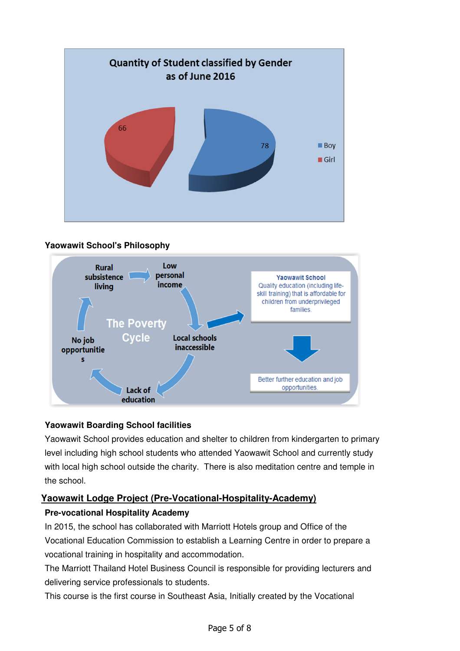





# **Yaowawit Boarding School facilities**

Yaowawit School provides education and shelter to children from kindergarten to primary level including high school students who attended Yaowawit School and currently study with local high school outside the charity. There is also meditation centre and temple in the school.

# **Yaowawit Lodge Project (Pre-Vocational-Hospitality-Academy)**

# **Pre-vocational Hospitality Academy**

In 2015, the school has collaborated with Marriott Hotels group and Office of the Vocational Education Commission to establish a Learning Centre in order to prepare a vocational training in hospitality and accommodation.

The Marriott Thailand Hotel Business Council is responsible for providing lecturers and delivering service professionals to students.

This course is the first course in Southeast Asia, Initially created by the Vocational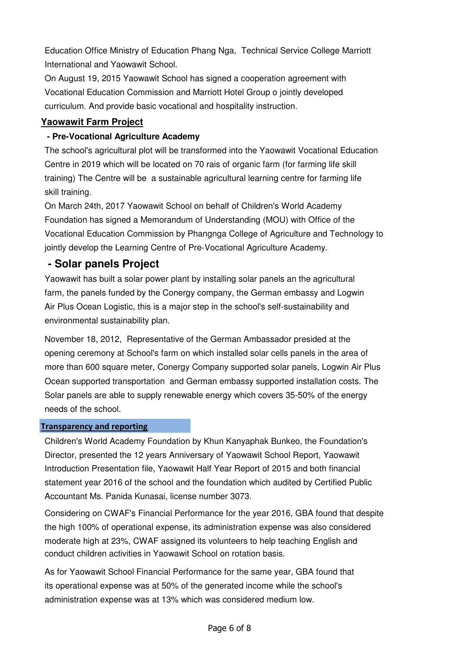Education Office Ministry of Education Phang Nga, Technical Service College Marriott International and Yaowawit School.

On August 19, 2015 Yaowawit School has signed a cooperation agreement with Vocational Education Commission and Marriott Hotel Group o jointly developed curriculum. And provide basic vocational and hospitality instruction.

## **Yaowawit Farm Project**

### **- Pre-Vocational Agriculture Academy**

The school's agricultural plot will be transformed into the Yaowawit Vocational Education Centre in 2019 which will be located on 70 rais of organic farm (for farming life skill training) The Centre will be a sustainable agricultural learning centre for farming life skill training.

On March 24th, 2017 Yaowawit School on behalf of Children's World Academy Foundation has signed a Memorandum of Understanding (MOU) with Office of the Vocational Education Commission by Phangnga College of Agriculture and Technology to jointly develop the Learning Centre of Pre-Vocational Agriculture Academy.

# **- Solar panels Project**

Yaowawit has built a solar power plant by installing solar panels an the agricultural farm, the panels funded by the Conergy company, the German embassy and Logwin Air Plus Ocean Logistic, this is a major step in the school's self-sustainability and environmental sustainability plan.

November 18, 2012, Representative of the German Ambassador presided at the opening ceremony at School's farm on which installed solar cells panels in the area of more than 600 square meter, Conergy Company supported solar panels, Logwin Air Plus Ocean supported transportation and German embassy supported installation costs. The Solar panels are able to supply renewable energy which covers 35-50% of the energy needs of the school.

#### Transparency and reporting

Children's World Academy Foundation by Khun Kanyaphak Bunkeo, the Foundation's Director, presented the 12 years Anniversary of Yaowawit School Report, Yaowawit Introduction Presentation file, Yaowawit Half Year Report of 2015 and both financial statement year 2016 of the school and the foundation which audited by Certified Public Accountant Ms. Panida Kunasai, license number 3073.

Considering on CWAF's Financial Performance for the year 2016, GBA found that despite the high 100% of operational expense, its administration expense was also considered moderate high at 23%, CWAF assigned its volunteers to help teaching English and conduct children activities in Yaowawit School on rotation basis.

As for Yaowawit School Financial Performance for the same year, GBA found that its operational expense was at 50% of the generated income while the school's administration expense was at 13% which was considered medium low.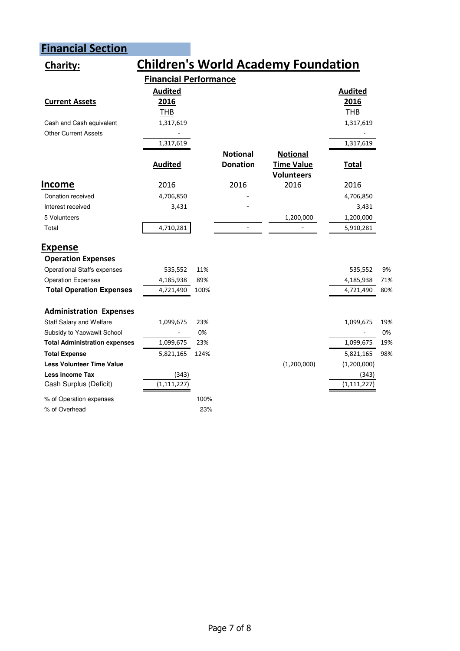# Financial Section

| <b>Children's World Academy Foundation</b><br>Charity: |                              |      |                 |                   |                |     |  |
|--------------------------------------------------------|------------------------------|------|-----------------|-------------------|----------------|-----|--|
|                                                        | <b>Financial Performance</b> |      |                 |                   |                |     |  |
|                                                        | <b>Audited</b>               |      |                 |                   | <b>Audited</b> |     |  |
| <b>Current Assets</b>                                  | 2016                         |      |                 |                   | 2016           |     |  |
|                                                        | <b>THB</b>                   |      |                 |                   | <b>THB</b>     |     |  |
| Cash and Cash equivalent                               | 1,317,619                    |      |                 |                   | 1,317,619      |     |  |
| <b>Other Current Assets</b>                            |                              |      |                 |                   |                |     |  |
|                                                        | 1,317,619                    |      |                 |                   | 1,317,619      |     |  |
|                                                        |                              |      | <b>Notional</b> | <b>Notional</b>   |                |     |  |
|                                                        | <b>Audited</b>               |      | <b>Donation</b> | Time Value        | <b>Total</b>   |     |  |
|                                                        |                              |      |                 | <b>Volunteers</b> |                |     |  |
| <u>Income</u>                                          | 2016                         |      | 2016            | 2016              | 2016           |     |  |
| Donation received                                      | 4,706,850                    |      |                 |                   | 4,706,850      |     |  |
| Interest received                                      | 3,431                        |      |                 |                   | 3,431          |     |  |
| 5 Volunteers                                           |                              |      |                 | 1,200,000         | 1,200,000      |     |  |
| Total                                                  | 4,710,281                    |      |                 |                   | 5,910,281      |     |  |
| <b>Expense</b>                                         |                              |      |                 |                   |                |     |  |
| <b>Operation Expenses</b>                              |                              |      |                 |                   |                |     |  |
| <b>Operational Staffs expenses</b>                     | 535,552                      | 11%  |                 |                   | 535,552        | 9%  |  |
| <b>Operation Expenses</b>                              | 4,185,938                    | 89%  |                 |                   | 4,185,938      | 71% |  |
| <b>Total Operation Expenses</b>                        | 4,721,490                    | 100% |                 |                   | 4,721,490      | 80% |  |
| <b>Administration Expenses</b>                         |                              |      |                 |                   |                |     |  |
| Staff Salary and Welfare                               | 1,099,675                    | 23%  |                 |                   | 1,099,675      | 19% |  |
| Subsidy to Yaowawit School                             |                              | 0%   |                 |                   |                | 0%  |  |
| <b>Total Administration expenses</b>                   | 1,099,675                    | 23%  |                 |                   | 1,099,675      | 19% |  |
| <b>Total Expense</b>                                   | 5,821,165                    | 124% |                 |                   | 5,821,165      | 98% |  |
| <b>Less Volunteer Time Value</b>                       |                              |      |                 | (1,200,000)       | (1,200,000)    |     |  |
| Less income Tax                                        | (343)                        |      |                 |                   | (343)          |     |  |
| Cash Surplus (Deficit)                                 | (1, 111, 227)                |      |                 |                   | (1, 111, 227)  |     |  |
| % of Operation expenses                                |                              | 100% |                 |                   |                |     |  |
| % of Overhead                                          |                              | 23%  |                 |                   |                |     |  |